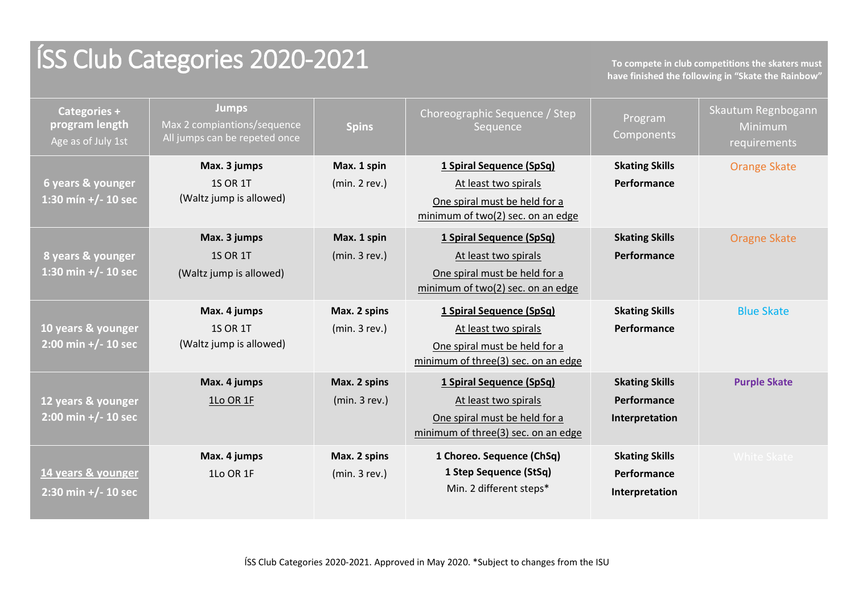# ÍSS Club Categories 2020-2021 **To compete in club competitions the skaters must**

**have finished the following in "Skate the Rainbow"**

| Categories +<br>program length<br>Age as of July 1st        | <b>Jumps</b><br>Max 2 compiantions/sequence<br>All jumps can be repeted once | <b>Spins</b>                 | Choreographic Sequence / Step<br>Sequence                                                                                | Program<br>Components                                  | Skautum Regnbogann<br>Minimum<br>requirements |
|-------------------------------------------------------------|------------------------------------------------------------------------------|------------------------------|--------------------------------------------------------------------------------------------------------------------------|--------------------------------------------------------|-----------------------------------------------|
| 6 years & younger<br>1:30 mín +/- 10 sec                    | Max. 3 jumps<br><b>1S OR 1T</b><br>(Waltz jump is allowed)                   | Max. 1 spin<br>(min. 2 rev.) | 1 Spiral Sequence (SpSq)<br>At least two spirals<br>One spiral must be held for a<br>minimum of two(2) sec. on an edge   | <b>Skating Skills</b><br>Performance                   | <b>Orange Skate</b>                           |
| 8 years & younger<br>1:30 min +/- 10 sec                    | Max. 3 jumps<br><b>1S OR 1T</b><br>(Waltz jump is allowed)                   | Max. 1 spin<br>(min.3 rev.)  | 1 Spiral Sequence (SpSq)<br>At least two spirals<br>One spiral must be held for a<br>minimum of two(2) sec. on an edge   | <b>Skating Skills</b><br>Performance                   | <b>Oragne Skate</b>                           |
| 10 years & younger<br>$2:00 \text{ min} +/- 10 \text{ sec}$ | Max. 4 jumps<br><b>1S OR 1T</b><br>(Waltz jump is allowed)                   | Max. 2 spins<br>(min.3 rev.) | 1 Spiral Sequence (SpSq)<br>At least two spirals<br>One spiral must be held for a<br>minimum of three(3) sec. on an edge | <b>Skating Skills</b><br>Performance                   | <b>Blue Skate</b>                             |
| 12 years & younger<br>$2:00$ min +/- 10 sec                 | Max. 4 jumps<br>1Lo OR 1F                                                    | Max. 2 spins<br>(min.3 rev.) | 1 Spiral Sequence (SpSq)<br>At least two spirals<br>One spiral must be held for a<br>minimum of three(3) sec. on an edge | <b>Skating Skills</b><br>Performance<br>Interpretation | <b>Purple Skate</b>                           |
| 14 years & younger<br>$2:30$ min +/- 10 sec                 | Max. 4 jumps<br>1Lo OR 1F                                                    | Max. 2 spins<br>(min.3 rev.) | 1 Choreo. Sequence (ChSq)<br>1 Step Sequence (StSq)<br>Min. 2 different steps*                                           | <b>Skating Skills</b><br>Performance<br>Interpretation | <b>White Skate</b>                            |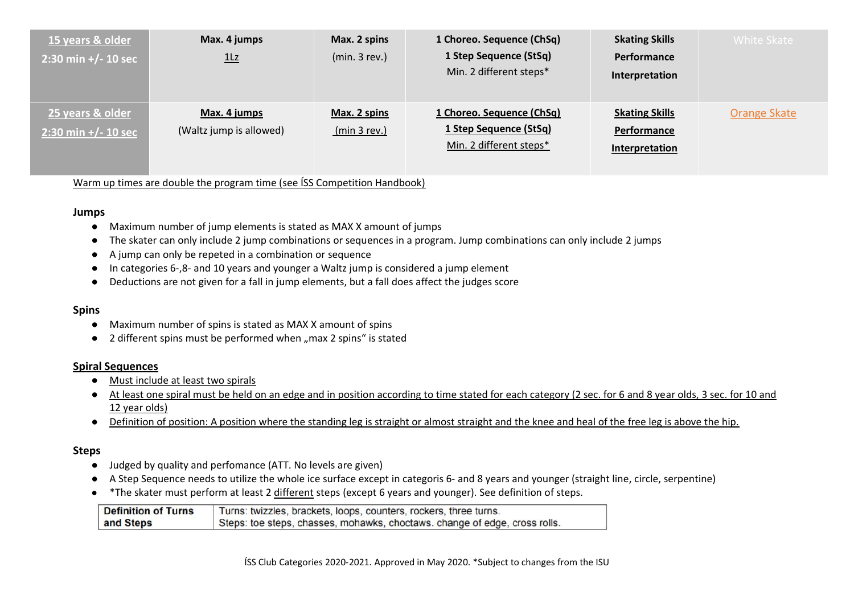| 15 years & older<br>$2:30 \text{ min} +/- 10 \text{ sec}$ | Max. 4 jumps<br>1Lz                     | Max. 2 spins<br>(min.3 rev.) | 1 Choreo. Sequence (ChSq)<br>1 Step Sequence (StSq)<br>Min. 2 different steps* | <b>Skating Skills</b><br>Performance<br>Interpretation | White Skate  |
|-----------------------------------------------------------|-----------------------------------------|------------------------------|--------------------------------------------------------------------------------|--------------------------------------------------------|--------------|
| 25 years & older<br>$2:30 \text{ min} +/- 10 \text{ sec}$ | Max. 4 jumps<br>(Waltz jump is allowed) | Max. 2 spins<br>(min 3 rev.) | 1 Choreo. Sequence (ChSq)<br>1 Step Sequence (StSq)<br>Min. 2 different steps* | <b>Skating Skills</b><br>Performance<br>Interpretation | Orange Skate |

Warm up times are double the program time (see ÍSS Competition Handbook)

#### **Jumps**

- Maximum number of jump elements is stated as MAX X amount of jumps
- The skater can only include 2 jump combinations or sequences in a program. Jump combinations can only include 2 jumps
- A jump can only be repeted in a combination or sequence
- In categories 6-,8- and 10 years and younger a Waltz jump is considered a jump element
- Deductions are not given for a fall in jump elements, but a fall does affect the judges score

#### **Spins**

- Maximum number of spins is stated as MAX X amount of spins
- $\bullet$  2 different spins must be performed when "max 2 spins" is stated

#### **Spiral Sequences**

- Must include at least two spirals
- At least one spiral must be held on an edge and in position according to time stated for each category (2 sec. for 6 and 8 year olds, 3 sec. for 10 and 12 year olds)
- Definition of position: A position where the standing leg is straight or almost straight and the knee and heal of the free leg is above the hip.

#### **Steps**

- Judged by quality and perfomance (ATT. No levels are given)
- A Step Sequence needs to utilize the whole ice surface except in categoris 6- and 8 years and younger (straight line, circle, serpentine)
- \*The skater must perform at least 2 different steps (except 6 years and younger). See definition of steps.

| <b>Definition of Turns</b> | Turns: twizzles, brackets, loops, counters, rockers, three turns.          |
|----------------------------|----------------------------------------------------------------------------|
| and Steps                  | Steps: toe steps, chasses, mohawks, choctaws. change of edge, cross rolls. |